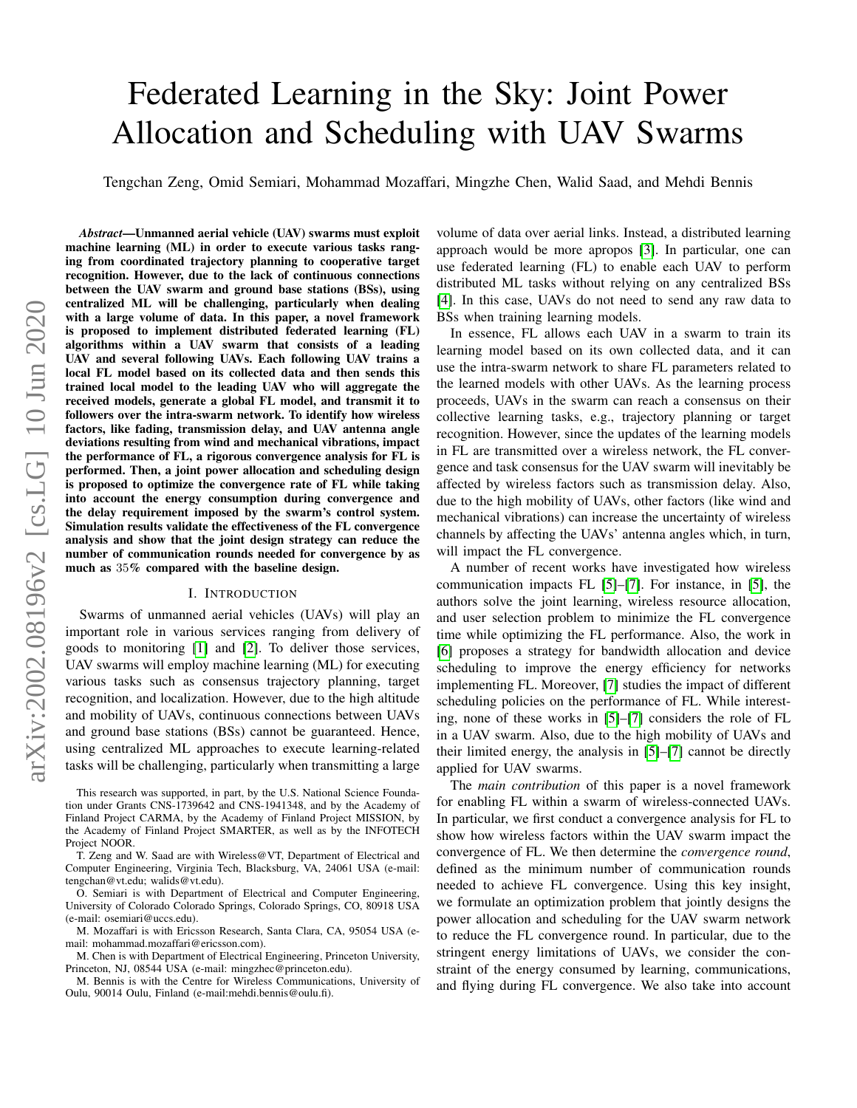# arXiv:2002.08196v2 [cs.LG] 10 Jun 2020 arXiv:2002.08196v2 [cs.LG] 10 Jun 2020

# Federated Learning in the Sky: Joint Power Allocation and Scheduling with UAV Swarms

Tengchan Zeng, Omid Semiari, Mohammad Mozaffari, Mingzhe Chen, Walid Saad, and Mehdi Bennis

*Abstract*—Unmanned aerial vehicle (UAV) swarms must exploit machine learning (ML) in order to execute various tasks ranging from coordinated trajectory planning to cooperative target recognition. However, due to the lack of continuous connections between the UAV swarm and ground base stations (BSs), using centralized ML will be challenging, particularly when dealing with a large volume of data. In this paper, a novel framework is proposed to implement distributed federated learning (FL) algorithms within a UAV swarm that consists of a leading UAV and several following UAVs. Each following UAV trains a local FL model based on its collected data and then sends this trained local model to the leading UAV who will aggregate the received models, generate a global FL model, and transmit it to followers over the intra-swarm network. To identify how wireless factors, like fading, transmission delay, and UAV antenna angle deviations resulting from wind and mechanical vibrations, impact the performance of FL, a rigorous convergence analysis for FL is performed. Then, a joint power allocation and scheduling design is proposed to optimize the convergence rate of FL while taking into account the energy consumption during convergence and the delay requirement imposed by the swarm's control system. Simulation results validate the effectiveness of the FL convergence analysis and show that the joint design strategy can reduce the number of communication rounds needed for convergence by as much as 35% compared with the baseline design.

### I. INTRODUCTION

Swarms of unmanned aerial vehicles (UAVs) will play an important role in various services ranging from delivery of goods to monitoring [\[1\]](#page-7-0) and [\[2\]](#page-7-1). To deliver those services, UAV swarms will employ machine learning (ML) for executing various tasks such as consensus trajectory planning, target recognition, and localization. However, due to the high altitude and mobility of UAVs, continuous connections between UAVs and ground base stations (BSs) cannot be guaranteed. Hence, using centralized ML approaches to execute learning-related tasks will be challenging, particularly when transmitting a large

M. Mozaffari is with Ericsson Research, Santa Clara, CA, 95054 USA (email: mohammad.mozaffari@ericsson.com).

M. Chen is with Department of Electrical Engineering, Princeton University, Princeton, NJ, 08544 USA (e-mail: mingzhec@princeton.edu).

M. Bennis is with the Centre for Wireless Communications, University of Oulu, 90014 Oulu, Finland (e-mail:mehdi.bennis@oulu.fi).

volume of data over aerial links. Instead, a distributed learning approach would be more apropos [\[3\]](#page-7-2). In particular, one can use federated learning (FL) to enable each UAV to perform distributed ML tasks without relying on any centralized BSs [\[4\]](#page-7-3). In this case, UAVs do not need to send any raw data to BSs when training learning models.

In essence, FL allows each UAV in a swarm to train its learning model based on its own collected data, and it can use the intra-swarm network to share FL parameters related to the learned models with other UAVs. As the learning process proceeds, UAVs in the swarm can reach a consensus on their collective learning tasks, e.g., trajectory planning or target recognition. However, since the updates of the learning models in FL are transmitted over a wireless network, the FL convergence and task consensus for the UAV swarm will inevitably be affected by wireless factors such as transmission delay. Also, due to the high mobility of UAVs, other factors (like wind and mechanical vibrations) can increase the uncertainty of wireless channels by affecting the UAVs' antenna angles which, in turn, will impact the FL convergence.

A number of recent works have investigated how wireless communication impacts FL [\[5\]](#page-7-4)–[\[7\]](#page-7-5). For instance, in [\[5\]](#page-7-4), the authors solve the joint learning, wireless resource allocation, and user selection problem to minimize the FL convergence time while optimizing the FL performance. Also, the work in [\[6\]](#page-7-6) proposes a strategy for bandwidth allocation and device scheduling to improve the energy efficiency for networks implementing FL. Moreover, [\[7\]](#page-7-5) studies the impact of different scheduling policies on the performance of FL. While interesting, none of these works in [\[5\]](#page-7-4)–[\[7\]](#page-7-5) considers the role of FL in a UAV swarm. Also, due to the high mobility of UAVs and their limited energy, the analysis in [\[5\]](#page-7-4)–[\[7\]](#page-7-5) cannot be directly applied for UAV swarms.

The *main contribution* of this paper is a novel framework for enabling FL within a swarm of wireless-connected UAVs. In particular, we first conduct a convergence analysis for FL to show how wireless factors within the UAV swarm impact the convergence of FL. We then determine the *convergence round*, defined as the minimum number of communication rounds needed to achieve FL convergence. Using this key insight, we formulate an optimization problem that jointly designs the power allocation and scheduling for the UAV swarm network to reduce the FL convergence round. In particular, due to the stringent energy limitations of UAVs, we consider the constraint of the energy consumed by learning, communications, and flying during FL convergence. We also take into account

This research was supported, in part, by the U.S. National Science Foundation under Grants CNS-1739642 and CNS-1941348, and by the Academy of Finland Project CARMA, by the Academy of Finland Project MISSION, by the Academy of Finland Project SMARTER, as well as by the INFOTECH Project NOOR.

T. Zeng and W. Saad are with Wireless@VT, Department of Electrical and Computer Engineering, Virginia Tech, Blacksburg, VA, 24061 USA (e-mail: tengchan@vt.edu; walids@vt.edu).

O. Semiari is with Department of Electrical and Computer Engineering, University of Colorado Colorado Springs, Colorado Springs, CO, 80918 USA (e-mail: osemiari@uccs.edu).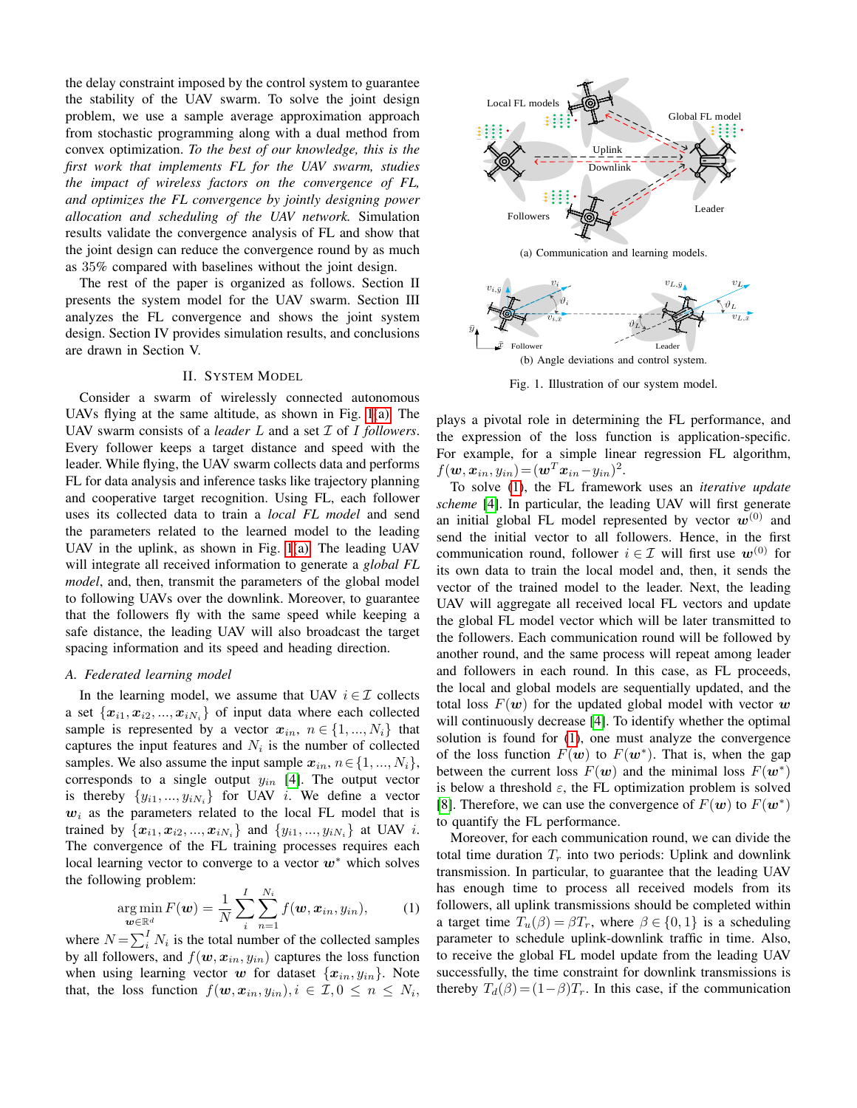the delay constraint imposed by the control system to guarantee the stability of the UAV swarm. To solve the joint design problem, we use a sample average approximation approach from stochastic programming along with a dual method from convex optimization. *To the best of our knowledge, this is the first work that implements FL for the UAV swarm, studies the impact of wireless factors on the convergence of FL, and optimizes the FL convergence by jointly designing power allocation and scheduling of the UAV network.* Simulation results validate the convergence analysis of FL and show that the joint design can reduce the convergence round by as much as 35% compared with baselines without the joint design.

The rest of the paper is organized as follows. Section II presents the system model for the UAV swarm. Section III analyzes the FL convergence and shows the joint system design. Section IV provides simulation results, and conclusions are drawn in Section V.

### II. SYSTEM MODEL

Consider a swarm of wirelessly connected autonomous UAVs flying at the same altitude, as shown in Fig. [1](#page-1-0)[\(a\).](#page-1-1) The UAV swarm consists of a *leader* L and a set I of I *followers*. Every follower keeps a target distance and speed with the leader. While flying, the UAV swarm collects data and performs FL for data analysis and inference tasks like trajectory planning and cooperative target recognition. Using FL, each follower uses its collected data to train a *local FL model* and send the parameters related to the learned model to the leading UAV in the uplink, as shown in Fig. [1](#page-1-0)[\(a\).](#page-1-1) The leading UAV will integrate all received information to generate a *global FL model*, and, then, transmit the parameters of the global model to following UAVs over the downlink. Moreover, to guarantee that the followers fly with the same speed while keeping a safe distance, the leading UAV will also broadcast the target spacing information and its speed and heading direction.

### *A. Federated learning model*

In the learning model, we assume that UAV  $i \in \mathcal{I}$  collects a set  $\{x_{i1}, x_{i2}, ..., x_{iN_i}\}$  of input data where each collected sample is represented by a vector  $x_{in}$ ,  $n \in \{1, ..., N_i\}$  that captures the input features and  $N_i$  is the number of collected samples. We also assume the input sample  $x_{in}$ ,  $n \in \{1, ..., N_i\}$ , corresponds to a single output  $y_{in}$  [\[4\]](#page-7-3). The output vector is thereby  $\{y_{i1},...,y_{iN_i}\}$  for UAV *i*. We define a vector  $w_i$  as the parameters related to the local FL model that is trained by  $\{x_{i1}, x_{i2}, ..., x_{iN_i}\}\$  and  $\{y_{i1}, ..., y_{iN_i}\}\$ at UAV  $i$ . The convergence of the FL training processes requires each local learning vector to converge to a vector  $w^*$  which solves the following problem:

$$
\argmin_{\boldsymbol{w}\in\mathbb{R}^d} F(\boldsymbol{w}) = \frac{1}{N} \sum_{i}^{I} \sum_{n=1}^{N_i} f(\boldsymbol{w}, \boldsymbol{x}_{in}, y_{in}), \qquad (1)
$$

where  $N = \sum_{i=1}^{I} N_i$  is the total number of the collected samples by all followers, and  $f(w, x_{in}, y_{in})$  captures the loss function when using learning vector w for dataset  $\{x_{in}, y_{in}\}$ . Note that, the loss function  $f(\mathbf{w}, \mathbf{x}_{in}, y_{in}), i \in \mathcal{I}, 0 \leq n \leq N_i$ ,

<span id="page-1-1"></span><span id="page-1-0"></span>

<span id="page-1-3"></span>Fig. 1. Illustration of our system model.

plays a pivotal role in determining the FL performance, and the expression of the loss function is application-specific. For example, for a simple linear regression FL algorithm,  $f(\bm{w}, \bm{x}_{in}, y_{in}) = (\bm{w}^T \bm{x}_{in} - y_{in})^2.$ 

To solve [\(1\)](#page-1-2), the FL framework uses an *iterative update scheme* [\[4\]](#page-7-3). In particular, the leading UAV will first generate an initial global FL model represented by vector  $w^{(0)}$  and send the initial vector to all followers. Hence, in the first communication round, follower  $i \in \mathcal{I}$  will first use  $\mathbf{w}^{(0)}$  for its own data to train the local model and, then, it sends the vector of the trained model to the leader. Next, the leading UAV will aggregate all received local FL vectors and update the global FL model vector which will be later transmitted to the followers. Each communication round will be followed by another round, and the same process will repeat among leader and followers in each round. In this case, as FL proceeds, the local and global models are sequentially updated, and the total loss  $F(w)$  for the updated global model with vector w will continuously decrease [\[4\]](#page-7-3). To identify whether the optimal solution is found for [\(1\)](#page-1-2), one must analyze the convergence of the loss function  $F(w)$  to  $F(w^*)$ . That is, when the gap between the current loss  $F(w)$  and the minimal loss  $F(w^*)$ is below a threshold  $\varepsilon$ , the FL optimization problem is solved [\[8\]](#page-7-7). Therefore, we can use the convergence of  $F(w)$  to  $F(w^*)$ to quantify the FL performance.

<span id="page-1-2"></span>Moreover, for each communication round, we can divide the total time duration  $T_r$  into two periods: Uplink and downlink transmission. In particular, to guarantee that the leading UAV has enough time to process all received models from its followers, all uplink transmissions should be completed within a target time  $T_u(\beta) = \beta T_r$ , where  $\beta \in \{0, 1\}$  is a scheduling parameter to schedule uplink-downlink traffic in time. Also, to receive the global FL model update from the leading UAV successfully, the time constraint for downlink transmissions is thereby  $T_d(\beta) = (1-\beta)T_r$ . In this case, if the communication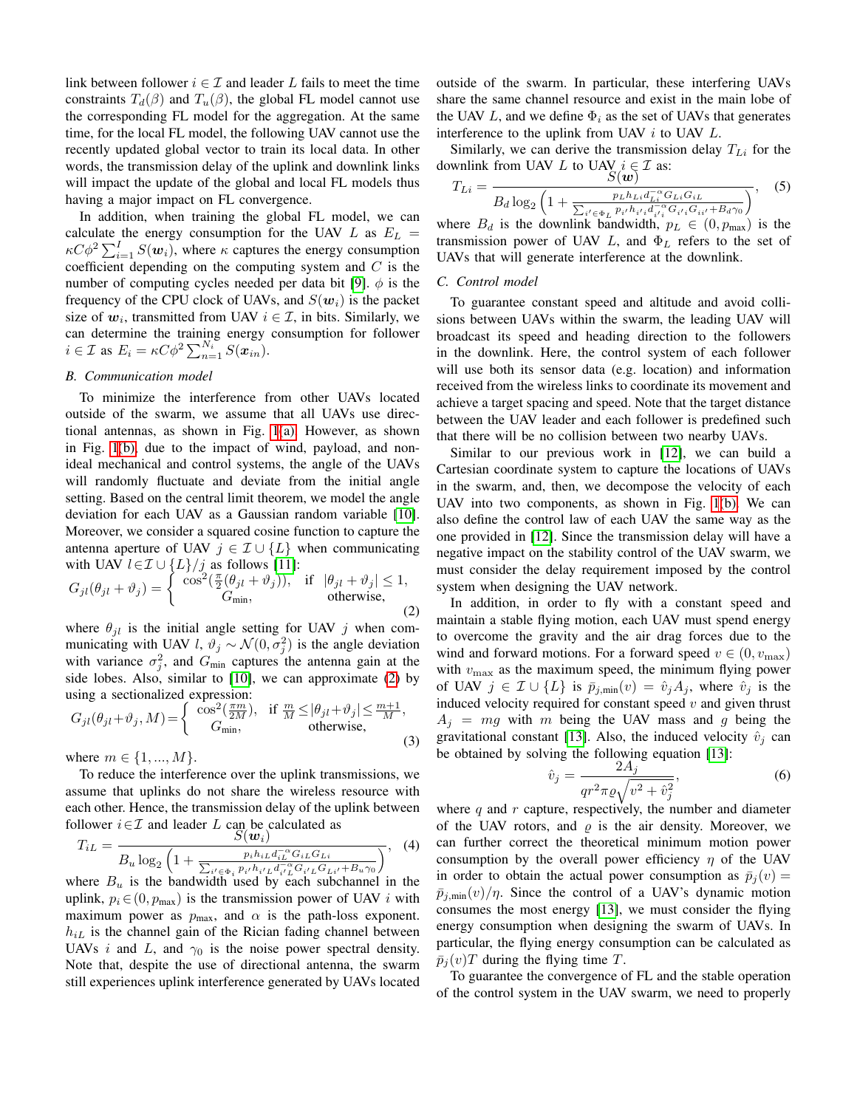link between follower  $i \in \mathcal{I}$  and leader L fails to meet the time constraints  $T_d(\beta)$  and  $T_u(\beta)$ , the global FL model cannot use the corresponding FL model for the aggregation. At the same time, for the local FL model, the following UAV cannot use the recently updated global vector to train its local data. In other words, the transmission delay of the uplink and downlink links will impact the update of the global and local FL models thus having a major impact on FL convergence.

In addition, when training the global FL model, we can calculate the energy consumption for the UAV L as  $E_L$  =  $\kappa C \phi^2 \sum_{i=1}^I S(\boldsymbol{w}_i)$ , where  $\kappa$  captures the energy consumption coefficient depending on the computing system and  $C$  is the number of computing cycles needed per data bit [\[9\]](#page-7-8).  $\phi$  is the frequency of the CPU clock of UAVs, and  $S(w_i)$  is the packet size of  $w_i$ , transmitted from UAV  $i \in \mathcal{I}$ , in bits. Similarly, we can determine the training energy consumption for follower  $i \in \mathcal{I}$  as  $E_i = \kappa C \phi^2 \sum_{n=1}^{N_i} S(\mathbf{x}_{in}).$ 

### *B. Communication model*

To minimize the interference from other UAVs located outside of the swarm, we assume that all UAVs use directional antennas, as shown in Fig. [1](#page-1-0)[\(a\),](#page-1-1) However, as shown in Fig. [1](#page-1-0)[\(b\),](#page-1-3) due to the impact of wind, payload, and nonideal mechanical and control systems, the angle of the UAVs will randomly fluctuate and deviate from the initial angle setting. Based on the central limit theorem, we model the angle deviation for each UAV as a Gaussian random variable [\[10\]](#page-7-9). Moreover, we consider a squared cosine function to capture the antenna aperture of UAV  $j \in \mathcal{I} \cup \{L\}$  when communicating with UAV  $l \in \mathcal{I} \cup \{L\}/j$  as follows [\[11\]](#page-7-10):

<span id="page-2-0"></span>
$$
G_{jl}(\theta_{jl} + \vartheta_j) = \begin{cases} \cos^2(\frac{\pi}{2}(\theta_{jl} + \vartheta_j)), & \text{if } |\theta_{jl} + \vartheta_j| \le 1, \\ G_{\min}, & \text{otherwise,} \end{cases}
$$
 (2)

where  $\theta_{jl}$  is the initial angle setting for UAV j when communicating with UAV *l*,  $\vartheta_j \sim \mathcal{N}(0, \sigma_j^2)$  is the angle deviation with variance  $\sigma_j^2$ , and  $G_{\text{min}}$  captures the antenna gain at the side lobes. Also, similar to [\[10\]](#page-7-9), we can approximate [\(2\)](#page-2-0) by using a sectionalized expression:

$$
G_{jl}(\theta_{jl} + \vartheta_j, M) = \begin{cases} \cos^2(\frac{\pi m}{2M}), & \text{if } \frac{m}{M} \leq |\theta_{jl} + \vartheta_j| \leq \frac{m+1}{M}, \\ G_{\min}, & \text{otherwise}, \end{cases}
$$
(3)

where  $m \in \{1, ..., M\}$ .

To reduce the interference over the uplink transmissions, we assume that uplinks do not share the wireless resource with each other. Hence, the transmission delay of the uplink between follower *i* ∈ *I* and leader *L* can be calculated as

$$
T_{iL} = \frac{S(\boldsymbol{w}_{i})}{B_{u} \log_{2} \left(1 + \frac{p_{i} h_{iL} d_{iL}^{-\alpha} G_{iL} G_{Li}}{\sum_{i' \in \Phi_{i}} p_{i'} h_{i'L} d_{i'L}^{-\alpha} G_{i'L} G_{Li'} + B_{u'} \gamma_{0}}\right)},
$$
 (4)  
where  $B_{u}$  is the bandwidth used by each subchannel in the

uplink,  $p_i \in (0, p_{\text{max}})$  is the transmission power of UAV i with maximum power as  $p_{\text{max}}$ , and  $\alpha$  is the path-loss exponent.  $h_{iL}$  is the channel gain of the Rician fading channel between UAVs i and L, and  $\gamma_0$  is the noise power spectral density. Note that, despite the use of directional antenna, the swarm still experiences uplink interference generated by UAVs located outside of the swarm. In particular, these interfering UAVs share the same channel resource and exist in the main lobe of the UAV L, and we define  $\Phi_i$  as the set of UAVs that generates interference to the uplink from UAV  $i$  to UAV  $L$ .

Similarly, we can derive the transmission delay  $T_{Li}$  for the downlink from UAV L to UAV  $i \in \mathcal{I}$  as:<br>  $S(\mathbf{w})$ 

<span id="page-2-2"></span>
$$
T_{Li} = \frac{B_{d} \log_{2} \left(1 + \frac{p_{L} h_{Li} d_{Li}^{-\alpha} G_{Li} G_{iL}}{\sum_{i' \in \Phi_{L}} p_{i'} h_{i'i} d_{ii'}^{-\alpha} G_{i'i} G_{ii'} + B_{d}\gamma_{0}}\right)},
$$
(5)

where  $B_d$  is the downlink bandwidth,  $p_L \in (0, p_{\text{max}})$  is the transmission power of UAV L, and  $\Phi_L$  refers to the set of UAVs that will generate interference at the downlink.

### *C. Control model*

To guarantee constant speed and altitude and avoid collisions between UAVs within the swarm, the leading UAV will broadcast its speed and heading direction to the followers in the downlink. Here, the control system of each follower will use both its sensor data (e.g. location) and information received from the wireless links to coordinate its movement and achieve a target spacing and speed. Note that the target distance between the UAV leader and each follower is predefined such that there will be no collision between two nearby UAVs.

Similar to our previous work in [\[12\]](#page-7-11), we can build a Cartesian coordinate system to capture the locations of UAVs in the swarm, and, then, we decompose the velocity of each UAV into two components, as shown in Fig. [1](#page-1-0)[\(b\).](#page-1-3) We can also define the control law of each UAV the same way as the one provided in [\[12\]](#page-7-11). Since the transmission delay will have a negative impact on the stability control of the UAV swarm, we must consider the delay requirement imposed by the control system when designing the UAV network.

In addition, in order to fly with a constant speed and maintain a stable flying motion, each UAV must spend energy to overcome the gravity and the air drag forces due to the wind and forward motions. For a forward speed  $v \in (0, v_{\text{max}})$ with  $v_{\text{max}}$  as the maximum speed, the minimum flying power of UAV  $j \in \mathcal{I} \cup \{L\}$  is  $\bar{p}_{j,\min}(v) = \hat{v}_j A_j$ , where  $\hat{v}_j$  is the induced velocity required for constant speed  $v$  and given thrust  $A_j = mg$  with m being the UAV mass and g being the gravitational constant [\[13\]](#page-7-12). Also, the induced velocity  $\hat{v}_i$  can be obtained by solving the following equation [\[13\]](#page-7-12):

$$
\hat{v}_j = \frac{2A_j}{qr^2\pi\varrho\sqrt{v^2 + \hat{v}_j^2}},\tag{6}
$$

<span id="page-2-1"></span>where q and r capture, respectively, the number and diameter of the UAV rotors, and  $\rho$  is the air density. Moreover, we can further correct the theoretical minimum motion power consumption by the overall power efficiency  $\eta$  of the UAV in order to obtain the actual power consumption as  $\bar{p}_i(v) =$  $\bar{p}_{j,\min}(v)/\eta$ . Since the control of a UAV's dynamic motion consumes the most energy [\[13\]](#page-7-12), we must consider the flying energy consumption when designing the swarm of UAVs. In particular, the flying energy consumption can be calculated as  $\bar{p}_j (v)T$  during the flying time T.

To guarantee the convergence of FL and the stable operation of the control system in the UAV swarm, we need to properly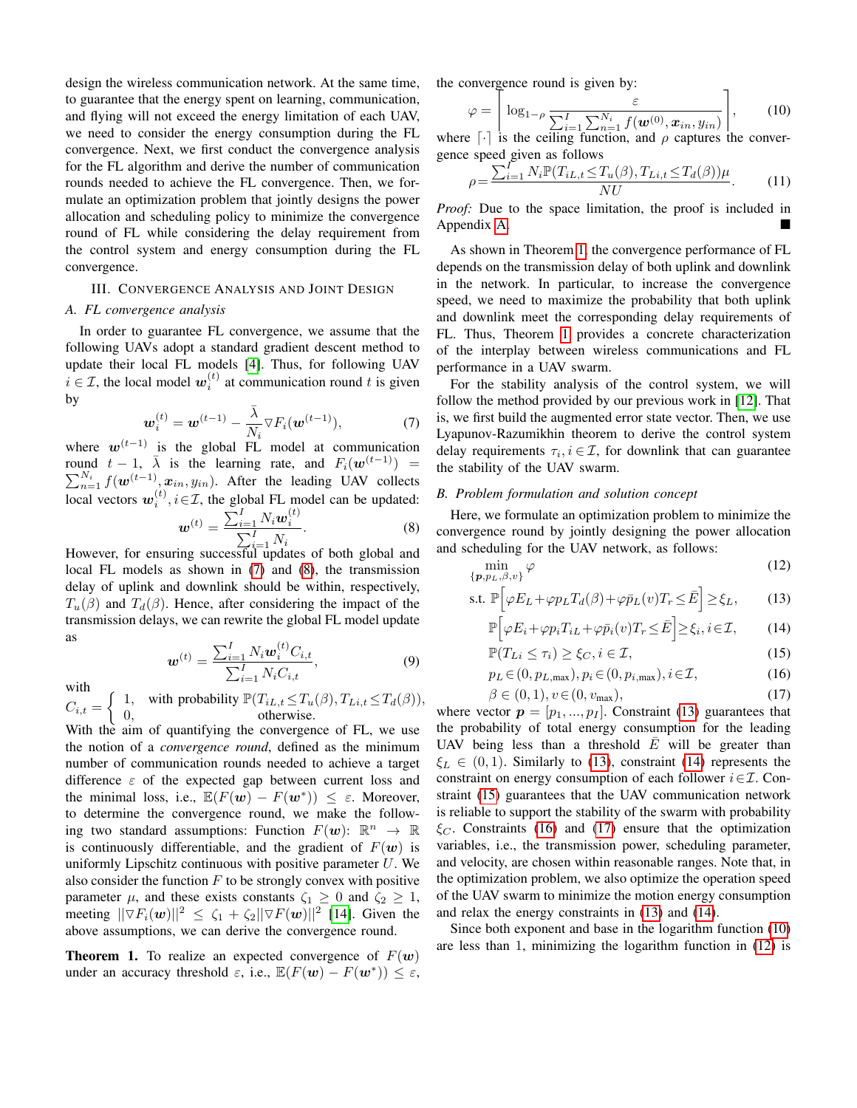design the wireless communication network. At the same time, to guarantee that the energy spent on learning, communication, and flying will not exceed the energy limitation of each UAV, we need to consider the energy consumption during the FL convergence. Next, we first conduct the convergence analysis for the FL algorithm and derive the number of communication rounds needed to achieve the FL convergence. Then, we formulate an optimization problem that jointly designs the power allocation and scheduling policy to minimize the convergence round of FL while considering the delay requirement from the control system and energy consumption during the FL convergence.

### III. CONVERGENCE ANALYSIS AND JOINT DESIGN

### *A. FL convergence analysis*

In order to guarantee FL convergence, we assume that the following UAVs adopt a standard gradient descent method to update their local FL models [\[4\]](#page-7-3). Thus, for following UAV  $i \in \mathcal{I}$ , the local model  $w_i^{(t)}$  at communication round t is given by

$$
\boldsymbol{w}_i^{(t)} = \boldsymbol{w}^{(t-1)} - \frac{\bar{\lambda}}{N_i} \nabla F_i(\boldsymbol{w}^{(t-1)}), \tag{7}
$$

where  $w^{(t-1)}$  is the global FL model at communication round  $t - 1$ ,  $\bar{\lambda}$  is the learning rate, and  $F_i(\boldsymbol{w}^{(t-1)})$  =  $\sum_{n=1}^{N_i} f(\boldsymbol{w}^{(t-1)}, \boldsymbol{x}_{in}, y_{in})$ . After the leading UAV collects local vectors  $w_i^{(t)}$ ,  $i \in \mathcal{I}$ , the global FL model can be updated:

$$
\boldsymbol{w}^{(t)} = \frac{\sum_{i=1}^{I} N_i \boldsymbol{w}_i^{(t)}}{\sum_{i=1}^{I} N_i}.
$$
 (8)

However, for ensuring successful updates of both global and local FL models as shown in [\(7\)](#page-3-0) and [\(8\)](#page-3-1), the transmission delay of uplink and downlink should be within, respectively,  $T_u(\beta)$  and  $T_d(\beta)$ . Hence, after considering the impact of the transmission delays, we can rewrite the global FL model update as

with

$$
\boldsymbol{w}^{(t)} = \frac{\sum_{i=1}^{I} N_i \boldsymbol{w}_i^{(t)} C_{i,t}}{\sum_{i=1}^{I} N_i C_{i,t}},
$$
(9)

<span id="page-3-8"></span>with  

$$
C_{i,t} = \begin{cases} 1, & \text{with probability } \mathbb{P}(T_{iL,t} \leq T_u(\beta), T_{Li,t} \leq T_d(\beta)), \\ 0, & \text{otherwise.} \end{cases}
$$

With the aim of quantifying the convergence of FL, we use the notion of a *convergence round*, defined as the minimum number of communication rounds needed to achieve a target difference  $\varepsilon$  of the expected gap between current loss and the minimal loss, i.e.,  $\mathbb{E}(F(w) - F(w^*)) \leq \varepsilon$ . Moreover, to determine the convergence round, we make the following two standard assumptions: Function  $F(w)$ :  $\mathbb{R}^n \to \mathbb{R}$ is continuously differentiable, and the gradient of  $F(w)$  is uniformly Lipschitz continuous with positive parameter  $U$ . We also consider the function  $F$  to be strongly convex with positive parameter  $\mu$ , and these exists constants  $\zeta_1 \geq 0$  and  $\zeta_2 \geq 1$ , meeting  $||\nabla F_i(\boldsymbol{w})||^2 \leq \zeta_1 + \zeta_2 ||\nabla F(\boldsymbol{w})||^2$  [\[14\]](#page-7-13). Given the above assumptions, we can derive the convergence round.

<span id="page-3-2"></span>**Theorem 1.** To realize an expected convergence of  $F(w)$ under an accuracy threshold  $\varepsilon$ , i.e.,  $\mathbb{E}(F(\boldsymbol{w}) - F(\boldsymbol{w}^*)) \leq \varepsilon$ , the convergence round is given by:

$$
\varphi = \left[ \log_{1-\rho} \frac{\varepsilon}{\sum_{i=1}^{I} \sum_{n=1}^{N_i} f(\boldsymbol{w}^{(0)}, \boldsymbol{x}_{in}, y_{in})} \right], \qquad (10)
$$

where  $\lceil \cdot \rceil$  is the ceiling function, and  $\rho$  captures the convergence speed given as follows

<span id="page-3-10"></span>
$$
\rho = \frac{\sum_{i=1}^{T} N_i \mathbb{P}(T_{iL,t} \leq T_u(\beta), T_{Li,t} \leq T_d(\beta)) \mu}{NU}.
$$
 (11)

*Proof:* Due to the space limitation, the proof is included in Appendix [A.](#page-6-0)

As shown in Theorem [1,](#page-3-2) the convergence performance of FL depends on the transmission delay of both uplink and downlink in the network. In particular, to increase the convergence speed, we need to maximize the probability that both uplink and downlink meet the corresponding delay requirements of FL. Thus, Theorem [1](#page-3-2) provides a concrete characterization of the interplay between wireless communications and FL performance in a UAV swarm.

<span id="page-3-0"></span>For the stability analysis of the control system, we will follow the method provided by our previous work in [\[12\]](#page-7-11). That is, we first build the augmented error state vector. Then, we use Lyapunov-Razumikhin theorem to derive the control system delay requirements  $\tau_i, i \in \mathcal{I}$ , for downlink that can guarantee the stability of the UAV swarm.

### *B. Problem formulation and solution concept*

<span id="page-3-1"></span>Here, we formulate an optimization problem to minimize the convergence round by jointly designing the power allocation and scheduling for the UAV network, as follows:

$$
\min_{\{\mathbf{p}, p_L, \beta, v\}} \varphi \tag{12}
$$

s.t. 
$$
\mathbb{P}\left[\varphi E_L + \varphi p_L T_d(\beta) + \varphi \bar{p}_L(v) T_r \leq \bar{E}\right] \geq \xi_L,
$$
 (13)

<span id="page-3-9"></span><span id="page-3-4"></span><span id="page-3-3"></span>
$$
\mathbb{P}\Big[\varphi E_i + \varphi p_i T_{iL} + \varphi \bar{p}_i(v) T_r \le \bar{E}\Big] \ge \xi_i, i \in \mathcal{I},\tag{14}
$$

<span id="page-3-5"></span>
$$
\mathbb{P}(T_{Li} \le \tau_i) \ge \xi_C, i \in \mathcal{I},\tag{15}
$$

<span id="page-3-7"></span><span id="page-3-6"></span>
$$
p_L \in (0, p_{L,\text{max}}), p_i \in (0, p_{i,\text{max}}), i \in \mathcal{I}, \tag{16}
$$

$$
\beta \in (0, 1), v \in (0, v_{\text{max}}), \tag{17}
$$

where vector  $p = [p_1, ..., p_I]$ . Constraint [\(13\)](#page-3-3) guarantees that the probability of total energy consumption for the leading UAV being less than a threshold  $E$  will be greater than  $\xi_L \in (0,1)$ . Similarly to [\(13\)](#page-3-3), constraint [\(14\)](#page-3-4) represents the constraint on energy consumption of each follower  $i \in \mathcal{I}$ . Constraint [\(15\)](#page-3-5) guarantees that the UAV communication network is reliable to support the stability of the swarm with probability  $\xi_C$ . Constraints [\(16\)](#page-3-6) and [\(17\)](#page-3-7) ensure that the optimization variables, i.e., the transmission power, scheduling parameter, and velocity, are chosen within reasonable ranges. Note that, in the optimization problem, we also optimize the operation speed of the UAV swarm to minimize the motion energy consumption and relax the energy constraints in [\(13\)](#page-3-3) and [\(14\)](#page-3-4).

Since both exponent and base in the logarithm function [\(10\)](#page-3-8) are less than 1, minimizing the logarithm function in [\(12\)](#page-3-9) is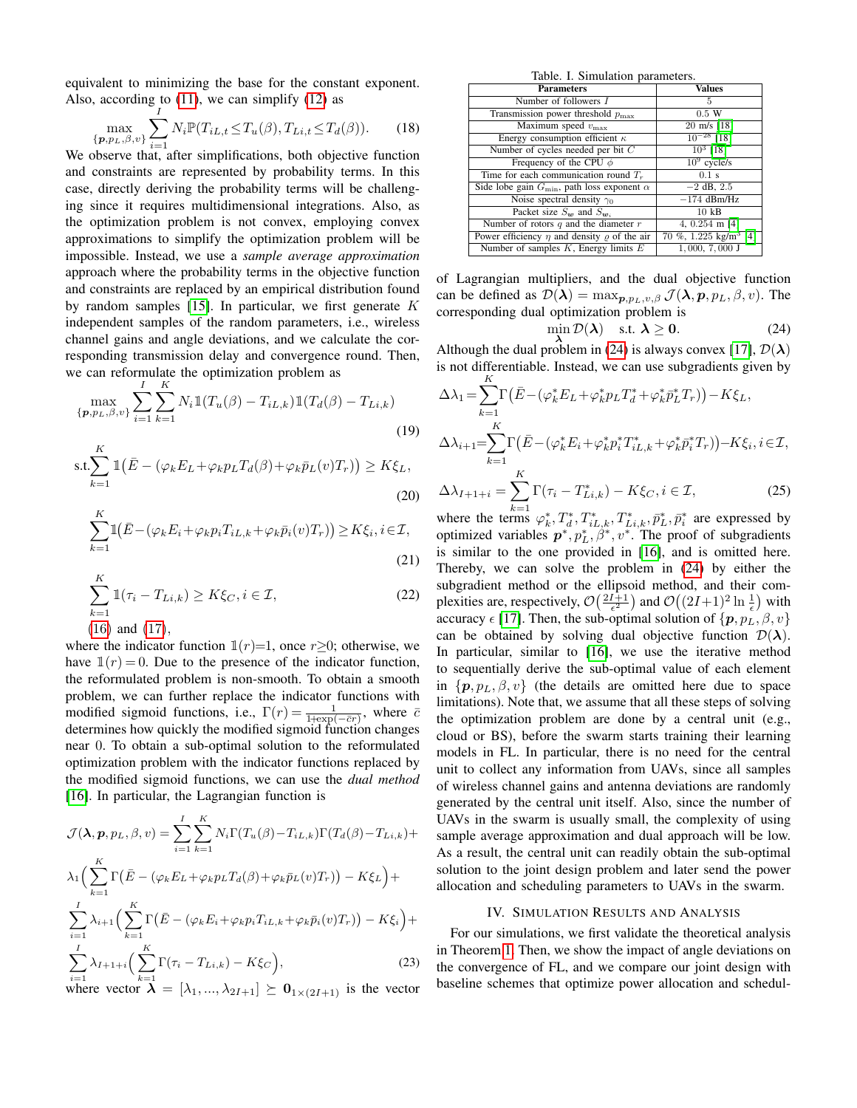equivalent to minimizing the base for the constant exponent. Also, according to  $(11)$ , we can simplify  $(12)$  as

$$
\max_{\{\boldsymbol{p}, p_L, \beta, v\}} \sum_{i=1}^{I} N_i \mathbb{P}(T_{iL,t} \leq T_u(\beta), T_{Li,t} \leq T_d(\beta)).
$$
 (18)

We observe that, after simplifications, both objective function and constraints are represented by probability terms. In this case, directly deriving the probability terms will be challenging since it requires multidimensional integrations. Also, as the optimization problem is not convex, employing convex approximations to simplify the optimization problem will be impossible. Instead, we use a *sample average approximation* approach where the probability terms in the objective function and constraints are replaced by an empirical distribution found by random samples  $[15]$ . In particular, we first generate K independent samples of the random parameters, i.e., wireless channel gains and angle deviations, and we calculate the corresponding transmission delay and convergence round. Then, we can reformulate the optimization problem as

$$
\max_{\{\mathbf{p}, p_L, \beta, v\}} \sum_{i=1}^{I} \sum_{k=1}^{K} N_i \mathbb{1}(T_u(\beta) - T_{iL,k}) \mathbb{1}(T_d(\beta) - T_{Li,k})
$$
\n(19)

$$
\text{s.t.} \sum_{k=1}^{K} \mathbb{1}(\bar{E} - (\varphi_k E_L + \varphi_k p_L T_d(\beta) + \varphi_k \bar{p}_L(v) T_r)) \ge K \xi_L,
$$
\n
$$
\text{(20)}
$$
\n
$$
K
$$

$$
\sum_{k=1}^{N} \mathbb{1}(\bar{E} - (\varphi_k E_i + \varphi_k p_i T_{iL,k} + \varphi_k \bar{p}_i(v) T_r)) \ge K\xi_i, i \in \mathcal{I},
$$
\n(21)

$$
\sum_{k=1}^{K} \mathbb{1}(\tau_i - T_{Li,k}) \ge K\xi_C, i \in \mathcal{I},\tag{22}
$$

[\(16\)](#page-3-6) and [\(17\)](#page-3-7),

where the indicator function  $\mathbb{1}(r)=1$ , once  $r\geq 0$ ; otherwise, we have  $\mathbb{1}(r) = 0$ . Due to the presence of the indicator function, the reformulated problem is non-smooth. To obtain a smooth problem, we can further replace the indicator functions with modified sigmoid functions, i.e.,  $\Gamma(r) = \frac{1}{1+\exp(-\bar{c}r)}$ , where  $\bar{c}$ determines how quickly the modified sigmoid function changes near 0. To obtain a sub-optimal solution to the reformulated optimization problem with the indicator functions replaced by the modified sigmoid functions, we can use the *dual method* [\[16\]](#page-7-15). In particular, the Lagrangian function is

$$
\mathcal{J}(\lambda, \mathbf{p}, p_L, \beta, v) = \sum_{i=1}^{I} \sum_{k=1}^{K} N_i \Gamma(T_u(\beta) - T_{iL,k}) \Gamma(T_d(\beta) - T_{Li,k}) +
$$

$$
\lambda_1 \Big( \sum_{k=1}^{K} \Gamma(\bar{E} - (\varphi_k E_L + \varphi_k p_L T_d(\beta) + \varphi_k \bar{p}_L(v) T_r)) - K \xi_L \Big) +
$$

$$
\sum_{i=1}^{I} \lambda_{i+1} \Big( \sum_{k=1}^{K} \Gamma(\bar{E} - (\varphi_k E_i + \varphi_k p_i T_{iL,k} + \varphi_k \bar{p}_i(v) T_r)) - K \xi_i \Big) +
$$

$$
\sum_{i=1}^{I} \lambda_{I+1+i} \Big( \sum_{k=1}^{K} \Gamma(\tau_i - T_{Li,k}) - K \xi_C \Big), \tag{23}
$$

where vector  $\lambda = [\lambda_1, ..., \lambda_{2I+1}] \succeq 0_{1 \times (2I+1)}$  is the vector

Table. I. Simulation parameters.

<span id="page-4-1"></span>

| <b>Parameters</b>                                             | Values                               |
|---------------------------------------------------------------|--------------------------------------|
| Number of followers $I$                                       | 5                                    |
| Transmission power threshold $p_{\text{max}}$                 | 0.5 W                                |
| Maximum speed $v_{\text{max}}$                                | 20 m/s [18]                          |
| Energy consumption efficient $\kappa$                         | $10^{-28}$ [18]                      |
| Number of cycles needed per bit $C$                           | $10^3$ [18]                          |
| Frequency of the CPU $\phi$                                   | $10^9$ cycle/s                       |
| Time for each communication round $T_r$                       | $0.1$ s                              |
| Side lobe gain $G_{\text{min}}$ , path loss exponent $\alpha$ | $-2$ dB, 2.5                         |
| Noise spectral density $\gamma_0$                             | $-174$ dBm/Hz                        |
| Packet size $S_w$ and $S_{w_i}$                               | 10kB                                 |
| Number of rotors $q$ and the diameter $r$                     | 4, $0.254$ m [4]                     |
| Power efficiency $\eta$ and density $\rho$ of the air         | $70\%$ , 1.225 kg/m <sup>3</sup> [4] |
| Number of samples $K$ , Energy limits $E$                     | $1,000, 7,000$ J                     |

of Lagrangian multipliers, and the dual objective function can be defined as  $\mathcal{D}(\lambda) = \max_{p, p_L, v, \beta} \mathcal{J}(\lambda, p, p_L, \beta, v)$ . The corresponding dual optimization problem is

<span id="page-4-0"></span>
$$
\min_{\lambda} \mathcal{D}(\lambda) \quad \text{s.t. } \lambda \ge 0. \tag{24}
$$

Although the dual problem in [\(24\)](#page-4-0) is always convex [\[17\]](#page-7-17),  $\mathcal{D}(\lambda)$ is not differentiable. Instead, we can use subgradients given by K

$$
\Delta \lambda_1 = \sum_{k=1}^K \Gamma \left( \bar{E} - (\varphi_k^* E_L + \varphi_k^* p_L T_d^* + \varphi_k^* \bar{p}_L^* T_r) \right) - K \xi_L,
$$
  
\n
$$
\Delta \lambda_{i+1} = \sum_{k=1}^K \Gamma \left( \bar{E} - (\varphi_k^* E_i + \varphi_k^* p_i^* T_{iL,k}^* + \varphi_k^* \bar{p}_i^* T_r) \right) - K \xi_i, i \in \mathcal{I},
$$
  
\n
$$
\Delta \lambda_{I+1+i} = \sum_{k=1}^K \Gamma(\tau_i - T_{Li,k}^*) - K \xi_C, i \in \mathcal{I},
$$
\n(25)

where the terms  $\varphi_k^*, T_d^*, T_{iL,k}^*, T_{Li,k}^*, \bar{p}_L^*, \bar{p}_i^*$  are expressed by optimized variables  $p^*, p_L^*, \beta^*, v^*$ . The proof of subgradients is similar to the one provided in [\[16\]](#page-7-15), and is omitted here. Thereby, we can solve the problem in [\(24\)](#page-4-0) by either the subgradient method or the ellipsoid method, and their complexities are, respectively,  $\mathcal{O}\left(\frac{2I+1}{\epsilon^2}\right)$  and  $\mathcal{O}\left((2I+1)^2 \ln \frac{1}{\epsilon}\right)$  with accuracy  $\epsilon$  [\[17\]](#page-7-17). Then, the sub-optimal solution of  $\{p, p_L, \beta, v\}$ can be obtained by solving dual objective function  $\mathcal{D}(\lambda)$ . In particular, similar to [\[16\]](#page-7-15), we use the iterative method to sequentially derive the sub-optimal value of each element in  $\{p, p_L, \beta, v\}$  (the details are omitted here due to space limitations). Note that, we assume that all these steps of solving the optimization problem are done by a central unit (e.g., cloud or BS), before the swarm starts training their learning models in FL. In particular, there is no need for the central unit to collect any information from UAVs, since all samples of wireless channel gains and antenna deviations are randomly generated by the central unit itself. Also, since the number of UAVs in the swarm is usually small, the complexity of using sample average approximation and dual approach will be low. As a result, the central unit can readily obtain the sub-optimal solution to the joint design problem and later send the power allocation and scheduling parameters to UAVs in the swarm.

### IV. SIMULATION RESULTS AND ANALYSIS

For our simulations, we first validate the theoretical analysis in Theorem [1.](#page-3-2) Then, we show the impact of angle deviations on the convergence of FL, and we compare our joint design with baseline schemes that optimize power allocation and schedul-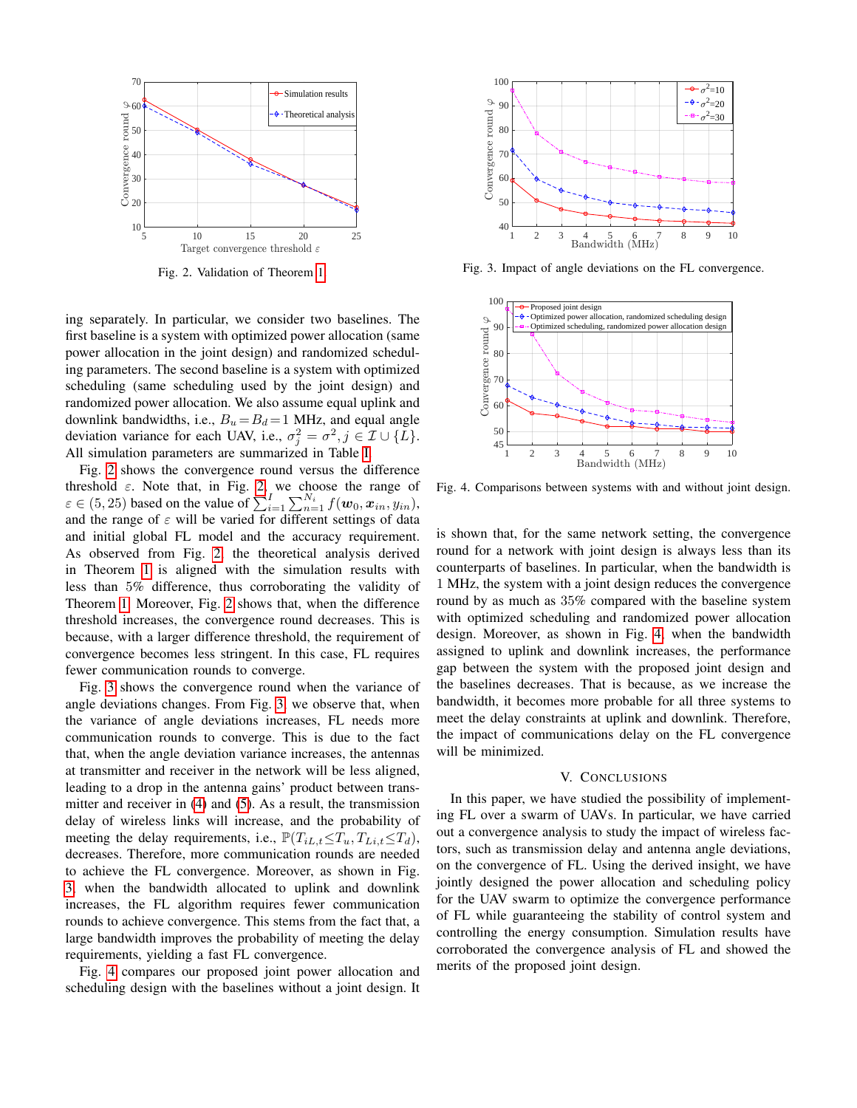<span id="page-5-0"></span>

Fig. 2. Validation of Theorem [1.](#page-3-2)

ing separately. In particular, we consider two baselines. The first baseline is a system with optimized power allocation (same power allocation in the joint design) and randomized scheduling parameters. The second baseline is a system with optimized scheduling (same scheduling used by the joint design) and randomized power allocation. We also assume equal uplink and downlink bandwidths, i.e.,  $B_u = B_d = 1$  MHz, and equal angle deviation variance for each UAV, i.e.,  $\sigma_j^2 = \sigma^2, j \in \mathcal{I} \cup \{L\}.$ All simulation parameters are summarized in Table [I.](#page-4-1)

Fig. [2](#page-5-0) shows the convergence round versus the difference threshold  $\varepsilon$ . Note that, in Fig. [2,](#page-5-0) we choose the range of  $\varepsilon \in (5, 25)$  based on the value of  $\sum_{i=1}^{I} \sum_{n=1}^{N_i} f(w_0, x_{in}, y_{in}),$ and the range of  $\varepsilon$  will be varied for different settings of data and initial global FL model and the accuracy requirement. As observed from Fig. [2,](#page-5-0) the theoretical analysis derived in Theorem [1](#page-3-2) is aligned with the simulation results with less than 5% difference, thus corroborating the validity of Theorem [1.](#page-3-2) Moreover, Fig. [2](#page-5-0) shows that, when the difference threshold increases, the convergence round decreases. This is because, with a larger difference threshold, the requirement of convergence becomes less stringent. In this case, FL requires fewer communication rounds to converge.

Fig. [3](#page-5-1) shows the convergence round when the variance of angle deviations changes. From Fig. [3,](#page-5-1) we observe that, when the variance of angle deviations increases, FL needs more communication rounds to converge. This is due to the fact that, when the angle deviation variance increases, the antennas at transmitter and receiver in the network will be less aligned, leading to a drop in the antenna gains' product between transmitter and receiver in [\(4\)](#page-2-1) and [\(5\)](#page-2-2). As a result, the transmission delay of wireless links will increase, and the probability of meeting the delay requirements, i.e.,  $\mathbb{P}(T_{iL,t} \leq T_u, T_{Li,t} \leq T_d)$ , decreases. Therefore, more communication rounds are needed to achieve the FL convergence. Moreover, as shown in Fig. [3,](#page-5-1) when the bandwidth allocated to uplink and downlink increases, the FL algorithm requires fewer communication rounds to achieve convergence. This stems from the fact that, a large bandwidth improves the probability of meeting the delay requirements, yielding a fast FL convergence.

Fig. [4](#page-5-2) compares our proposed joint power allocation and scheduling design with the baselines without a joint design. It

<span id="page-5-1"></span>

Fig. 3. Impact of angle deviations on the FL convergence.

<span id="page-5-2"></span>

Fig. 4. Comparisons between systems with and without joint design.

is shown that, for the same network setting, the convergence round for a network with joint design is always less than its counterparts of baselines. In particular, when the bandwidth is 1 MHz, the system with a joint design reduces the convergence round by as much as 35% compared with the baseline system with optimized scheduling and randomized power allocation design. Moreover, as shown in Fig. [4,](#page-5-2) when the bandwidth assigned to uplink and downlink increases, the performance gap between the system with the proposed joint design and the baselines decreases. That is because, as we increase the bandwidth, it becomes more probable for all three systems to meet the delay constraints at uplink and downlink. Therefore, the impact of communications delay on the FL convergence will be minimized.

### V. CONCLUSIONS

In this paper, we have studied the possibility of implementing FL over a swarm of UAVs. In particular, we have carried out a convergence analysis to study the impact of wireless factors, such as transmission delay and antenna angle deviations, on the convergence of FL. Using the derived insight, we have jointly designed the power allocation and scheduling policy for the UAV swarm to optimize the convergence performance of FL while guaranteeing the stability of control system and controlling the energy consumption. Simulation results have corroborated the convergence analysis of FL and showed the merits of the proposed joint design.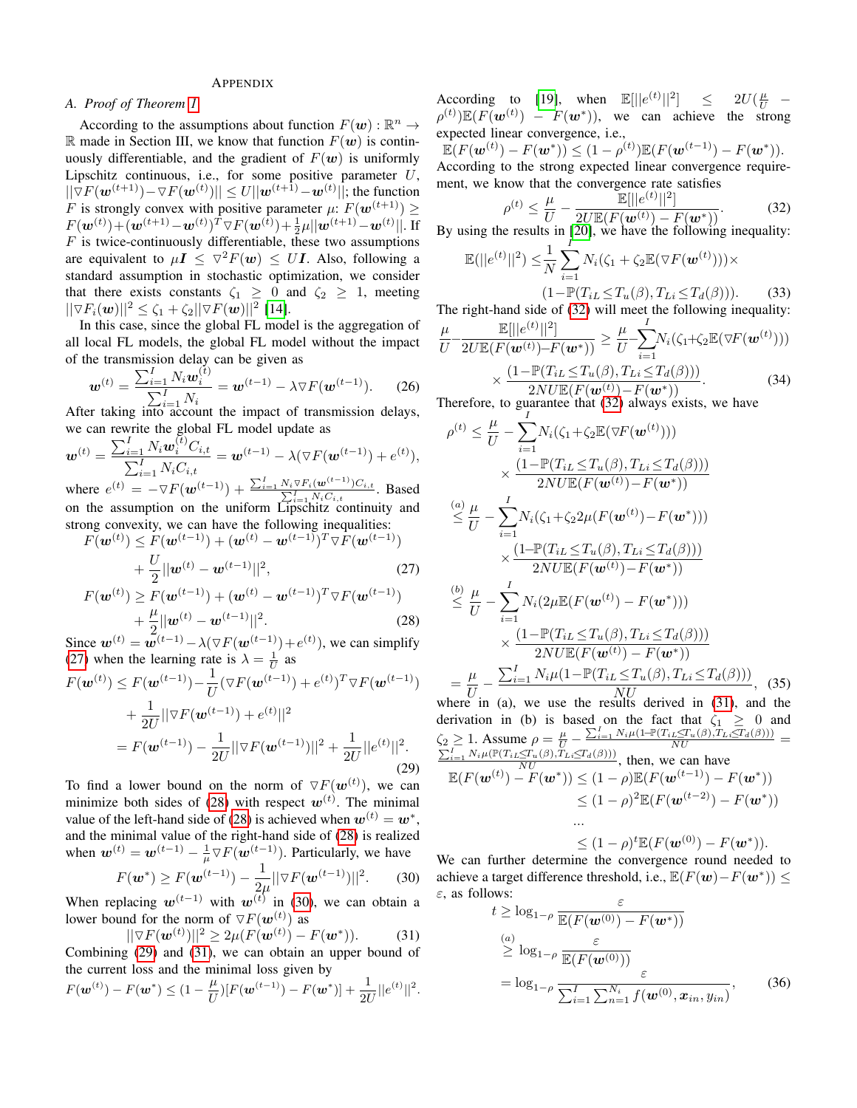## APPENDIX

# <span id="page-6-0"></span>*A. Proof of Theorem [1](#page-3-2)*

According to the assumptions about function  $F(\boldsymbol{w}) : \mathbb{R}^n \to$ R made in Section III, we know that function  $F(w)$  is continuously differentiable, and the gradient of  $F(w)$  is uniformly Lipschitz continuous, i.e., for some positive parameter  $U$ ,  $||\nabla F(\mathbf{w}^{(t+1)}) - \nabla F(\mathbf{w}^{(t)})|| \leq U||\mathbf{w}^{(t+1)} - \mathbf{w}^{(t)}||$ ; the function F is strongly convex with positive parameter  $\mu$ :  $F(\mathbf{w}^{(t+1)}) \ge$  $F(\bm{w}^{(t)}) + (\bm{w}^{(t+1)} - \bm{w}^{(t)})^T \nabla F(\bm{w}^{(\bar{t})}) + \frac{1}{2}\mu ||\bm{w}^{(t+1)} - \bm{w}^{(t)}||.$  If  $F$  is twice-continuously differentiable, these two assumptions are equivalent to  $\mu I \leq \nabla^2 F(w) \leq UI$ . Also, following a standard assumption in stochastic optimization, we consider that there exists constants  $\zeta_1 \geq 0$  and  $\zeta_2 \geq 1$ , meeting  $||\triangledown F_i(\boldsymbol{w})||^2 \leq \zeta_1 + \zeta_2 ||\triangledown F(\boldsymbol{w})||^2$  [\[14\]](#page-7-13).

In this case, since the global FL model is the aggregation of all local FL models, the global FL model without the impact of the transmission delay can be given as

$$
\boldsymbol{w}^{(t)} = \frac{\sum_{i=1}^{I} N_i \boldsymbol{w}_i^{(t)}}{\sum_{i=1}^{I} N_i} = \boldsymbol{w}^{(t-1)} - \lambda \nabla F(\boldsymbol{w}^{(t-1)}).
$$
 (26)

After taking into account the impact of transmission delays, we can rewrite the global FL model update as

$$
\mathbf{w}^{(t)} = \frac{\sum_{i=1}^{I} N_i \mathbf{w}_i^{(t)} C_{i,t}}{\sum_{i=1}^{I} N_i C_{i,t}} = \mathbf{w}^{(t-1)} - \lambda (\nabla F(\mathbf{w}^{(t-1)}) + e^{(t)}),
$$
  
where  $e^{(t)} = -\nabla F(\mathbf{w}^{(t-1)}) + \frac{\sum_{i=1}^{I} N_i \nabla F_i(\mathbf{w}^{(t-1)}) C_{i,t}}{\sum_{i=1}^{I} N_i C_{i,t}}.$  Based

on the assumption on the uniform Lipschitz continuity and strong convexity, we can have the following inequalities:

$$
F(\mathbf{w}^{(t)}) \leq F(\mathbf{w}^{(t-1)}) + (\mathbf{w}^{(t)} - \mathbf{w}^{(t-1)})^T \nabla F(\mathbf{w}^{(t-1)}) + \frac{U}{2} ||\mathbf{w}^{(t)} - \mathbf{w}^{(t-1)}||^2, \tag{27}
$$

$$
F(\mathbf{w}^{(t)}) \ge F(\mathbf{w}^{(t-1)}) + (\mathbf{w}^{(t)} - \mathbf{w}^{(t-1)})^T \nabla F(\mathbf{w}^{(t-1)}) + \frac{\mu}{2} ||\mathbf{w}^{(t)} - \mathbf{w}^{(t-1)}||^2.
$$
\n(28)

Since  $\mathbf{w}^{(t)} = \mathbf{w}^{(t-1)} - \lambda(\nabla F(\mathbf{w}^{(t-1)}) + e^{(t)})$ , we can simplify [\(27\)](#page-6-1) when the learning rate is  $\lambda = \frac{1}{U}$  as

$$
F(\boldsymbol{w}^{(t)}) \leq F(\boldsymbol{w}^{(t-1)}) - \frac{1}{U} (\nabla F(\boldsymbol{w}^{(t-1)}) + e^{(t)})^T \nabla F(\boldsymbol{w}^{(t-1)})
$$
  
+ 
$$
\frac{1}{2U} ||\nabla F(\boldsymbol{w}^{(t-1)}) + e^{(t)}||^2
$$
  
= 
$$
F(\boldsymbol{w}^{(t-1)}) - \frac{1}{2U} ||\nabla F(\boldsymbol{w}^{(t-1)})||^2 + \frac{1}{2U} ||e^{(t)}||^2.
$$
 (29)

To find a lower bound on the norm of  $\nabla F(w^{(t)})$ , we can minimize both sides of [\(28\)](#page-6-2) with respect  $w^{(t)}$ . The minimal value of the left-hand side of [\(28\)](#page-6-2) is achieved when  $w^{(t)} = w^*$ , and the minimal value of the right-hand side of [\(28\)](#page-6-2) is realized when  $\mathbf{w}^{(t)} = \mathbf{w}^{(t-1)} - \frac{1}{\mu} \nabla F(\mathbf{w}^{(t-1)})$ . Particularly, we have

$$
F(\mathbf{w}^*) \ge F(\mathbf{w}^{(t-1)}) - \frac{1}{2\mu} ||\nabla F(\mathbf{w}^{(t-1)})||^2.
$$
 (30)  
plecing  $\mathbf{w}^{(t-1)}$  with  $\mathbf{w}^{(t)}$  in (30) we can obtain a

When replacing  $w^{(t-1)}$  with  $w^{(t)}$  in [\(30\)](#page-6-3), we can obtain a lower bound for the norm of  $\nabla F(\boldsymbol{w}^{(t)})$  as

$$
||\nabla F(\mathbf{w}^{(t)})||^2 \ge 2\mu(F(\mathbf{w}^{(t)}) - F(\mathbf{w}^*)). \tag{31}
$$

Combining [\(29\)](#page-6-4) and [\(31\)](#page-6-5), we can obtain an upper bound of the current loss and the minimal loss given by

$$
F(\mathbf{w}^{(t)}) - F(\mathbf{w}^*) \leq (1 - \frac{\mu}{U})[F(\mathbf{w}^{(t-1)}) - F(\mathbf{w}^*)] + \frac{1}{2U}||e^{(t)}||^2.
$$

According to [\[19\]](#page-7-18), when  $\mathbb{E}[||e^{(t)}||^2] \leq 2U(\frac{\mu}{U} \rho^{(t)}\mathbb{E}(F(\boldsymbol{w}^{(t)}) - F(\boldsymbol{w}^*))$ , we can achieve the strong expected linear convergence, i.e.,

 $\mathbb{E}(F(\bm{w}^{(t)}) - F(\bm{w}^*)) \leq (1 - \rho^{(t)}) \mathbb{E}(F(\bm{w}^{(t-1)}) - F(\bm{w}^*)).$ According to the strong expected linear convergence requirement, we know that the convergence rate satisfies

<span id="page-6-6"></span>
$$
\rho^{(t)} \leq \frac{\mu}{U} - \frac{\mathbb{E}[||e^{(t)}||^2]}{2U\mathbb{E}(F(\boldsymbol{w}^{(t)}) - F(\boldsymbol{w}^*))}.
$$
\n(32)

By using the results in [\[20\]](#page-7-19), we have the following inequality:

$$
\mathbb{E}(|e^{(t)}||^2) \leq \frac{1}{N} \sum_{i=1}^{I} N_i(\zeta_1 + \zeta_2 \mathbb{E}(\nabla F(\boldsymbol{w}^{(t)}))) \times
$$
  

$$
(1 - \mathbb{P}(T_{iL} \leq T_u(\beta), T_{Li} \leq T_d(\beta))).
$$
 (33)

The right-hand side of [\(32\)](#page-6-6) will meet the following inequality:<br> $\prod_{I=1}^{n} (f)$ 

$$
\frac{\mu}{U} - \frac{\mathbb{E}[||e^{(t)}||^2]}{2U\mathbb{E}(F(\boldsymbol{w}^{(t)}) - F(\boldsymbol{w}^*))} \geq \frac{\mu}{U} - \sum_{i=1}^{I} N_i(\zeta_1 + \zeta_2 \mathbb{E}(\nabla F(\boldsymbol{w}^{(t)})))
$$
\n
$$
\times \frac{(1 - \mathbb{P}(T_{iL} \leq T_u(\beta), T_{Li} \leq T_d(\beta)))}{2NU\mathbb{E}(F(\boldsymbol{w}^{(t)}) - F(\boldsymbol{w}^*))}.
$$
\n(34)

Therefore, to guarantee that [\(32\)](#page-6-6) always exists, we have

<span id="page-6-1"></span>
$$
\rho^{(t)} \leq \frac{\mu}{U} - \sum_{i=1}^{I} N_i (\zeta_1 + \zeta_2 \mathbb{E}(\nabla F(\boldsymbol{w}^{(t)})))
$$
  
\n
$$
\times \frac{(1 - \mathbb{P}(T_{iL} \leq T_u(\beta), T_{Li} \leq T_d(\beta)))}{2NU\mathbb{E}(F(\boldsymbol{w}^{(t)}) - F(\boldsymbol{w}^*))}
$$
  
\n
$$
\leq \frac{a}{U} - \sum_{i=1}^{I} N_i (\zeta_1 + \zeta_2 2\mu (F(\boldsymbol{w}^{(t)}) - F(\boldsymbol{w}^*)))
$$
  
\n
$$
\times \frac{(1 - \mathbb{P}(T_{iL} \leq T_u(\beta), T_{Li} \leq T_d(\beta)))}{2NU\mathbb{E}(F(\boldsymbol{w}^{(t)}) - F(\boldsymbol{w}^*))}
$$
  
\n
$$
\leq \frac{b}{U} - \sum_{i=1}^{I} N_i (2\mu \mathbb{E}(F(\boldsymbol{w}^{(t)}) - F(\boldsymbol{w}^*)))
$$
  
\n
$$
\times \frac{(1 - \mathbb{P}(T_{iL} \leq T_u(\beta), T_{Li} \leq T_d(\beta)))}{2NU\mathbb{E}(F(\boldsymbol{w}^{(t)}) - F(\boldsymbol{w}^*))}
$$
  
\n
$$
= \frac{\mu}{U} - \frac{\sum_{i=1}^{I} N_i \mu (1 - \mathbb{P}(T_{iL} \leq T_u(\beta), T_{Li} \leq T_d(\beta)))}{2NU\mathbb{E}(F(\boldsymbol{w}^{(t)}) - F(\boldsymbol{w}^*))}
$$
, (35)  
\nwhere in (a), we use the results derived in (31), and the derivation in (b) is based on the fact that  $\zeta_1 \geq 0$  and

<span id="page-6-4"></span><span id="page-6-2"></span>derivation in (b) is based on the fact that  $\zeta_1 \geq 0$  and  $\zeta_2 \geq 1$ . Assume  $\rho = \frac{\mu}{U} - \frac{\sum_{i=1}^I N_i \mu(1-\mathbb{P}(T_i \leq T_u(\beta), T_i \leq T_d(\beta)))}{NU} = \frac{\sum_{i=1}^I N_i \mu(\mathbb{P}(T_i \leq T_u(\beta), T_i \leq T_d(\beta)))}{NU}$ , then, we can have  $\mathbb{E}(F(\bm{w}^{(t)}) - F(\bm{w}^*)) \leq (1-\rho)\mathbb{E}(F(\bm{w}^{(t-1)}) - F(\bm{w}^*))$  $\leq (1-\rho)^2 \mathbb{E}(F(w^{(t-2)}) - F(w^*))$ 

$$
\leq (1-\rho)^t \mathbb{E}(F(\boldsymbol{w}^{(0)}) - F(\boldsymbol{w}^*)).
$$

<span id="page-6-5"></span><span id="page-6-3"></span>We can further determine the convergence round needed to achieve a target difference threshold, i.e.,  $\mathbb{E}(F(\boldsymbol{w}) - F(\boldsymbol{w}^*)) \leq$  $\varepsilon$ , as follows: ε

...

$$
t \geq \log_{1-\rho} \frac{\varepsilon}{\mathbb{E}(F(\boldsymbol{w}^{(0)}) - F(\boldsymbol{w}^*))}
$$
  
\n
$$
\geq \log_{1-\rho} \frac{\varepsilon}{\mathbb{E}(F(\boldsymbol{w}^{(0)}))}
$$
  
\n
$$
= \log_{1-\rho} \frac{\varepsilon}{\sum_{i=1}^{I} \sum_{n=1}^{N_i} f(\boldsymbol{w}^{(0)}, \boldsymbol{x}_{in}, y_{in})},
$$
(36)